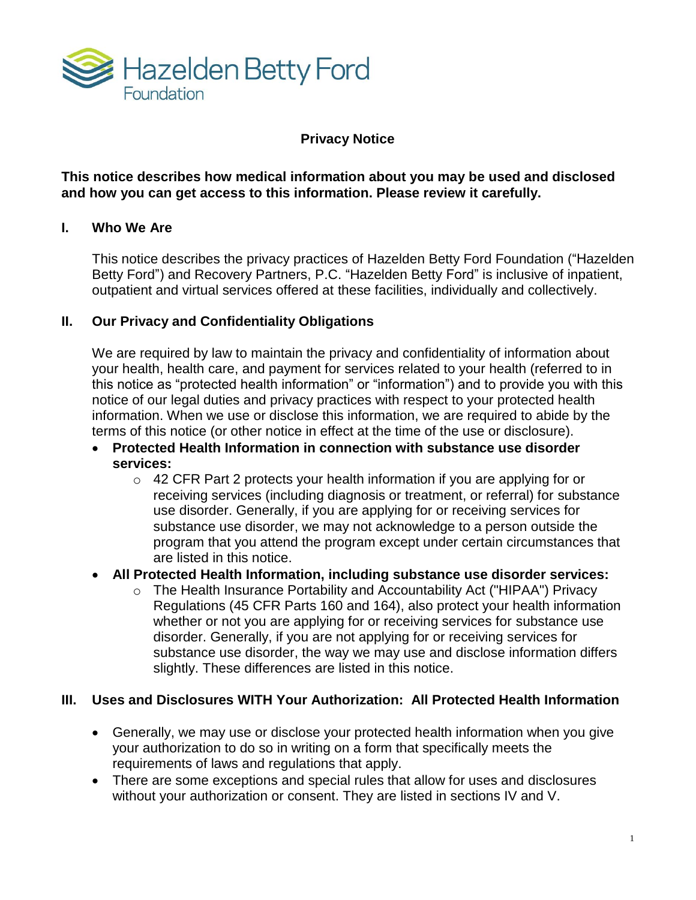

## **Privacy Notice**

**This notice describes how medical information about you may be used and disclosed and how you can get access to this information. Please review it carefully.** 

## **I. Who We Are**

This notice describes the privacy practices of Hazelden Betty Ford Foundation ("Hazelden Betty Ford") and Recovery Partners, P.C. "Hazelden Betty Ford" is inclusive of inpatient, outpatient and virtual services offered at these facilities, individually and collectively.

## **II. Our Privacy and Confidentiality Obligations**

We are required by law to maintain the privacy and confidentiality of information about your health, health care, and payment for services related to your health (referred to in this notice as "protected health information" or "information") and to provide you with this notice of our legal duties and privacy practices with respect to your protected health information. When we use or disclose this information, we are required to abide by the terms of this notice (or other notice in effect at the time of the use or disclosure).

- **Protected Health Information in connection with substance use disorder services:**
	- o 42 CFR Part 2 protects your health information if you are applying for or receiving services (including diagnosis or treatment, or referral) for substance use disorder. Generally, if you are applying for or receiving services for substance use disorder, we may not acknowledge to a person outside the program that you attend the program except under certain circumstances that are listed in this notice.
- **All Protected Health Information, including substance use disorder services:**
	- o The Health Insurance Portability and Accountability Act ("HIPAA") Privacy Regulations (45 CFR Parts 160 and 164), also protect your health information whether or not you are applying for or receiving services for substance use disorder. Generally, if you are not applying for or receiving services for substance use disorder, the way we may use and disclose information differs slightly. These differences are listed in this notice.

## **III. Uses and Disclosures WITH Your Authorization: All Protected Health Information**

- Generally, we may use or disclose your protected health information when you give your authorization to do so in writing on a form that specifically meets the requirements of laws and regulations that apply.
- There are some exceptions and special rules that allow for uses and disclosures without your authorization or consent. They are listed in sections IV and V.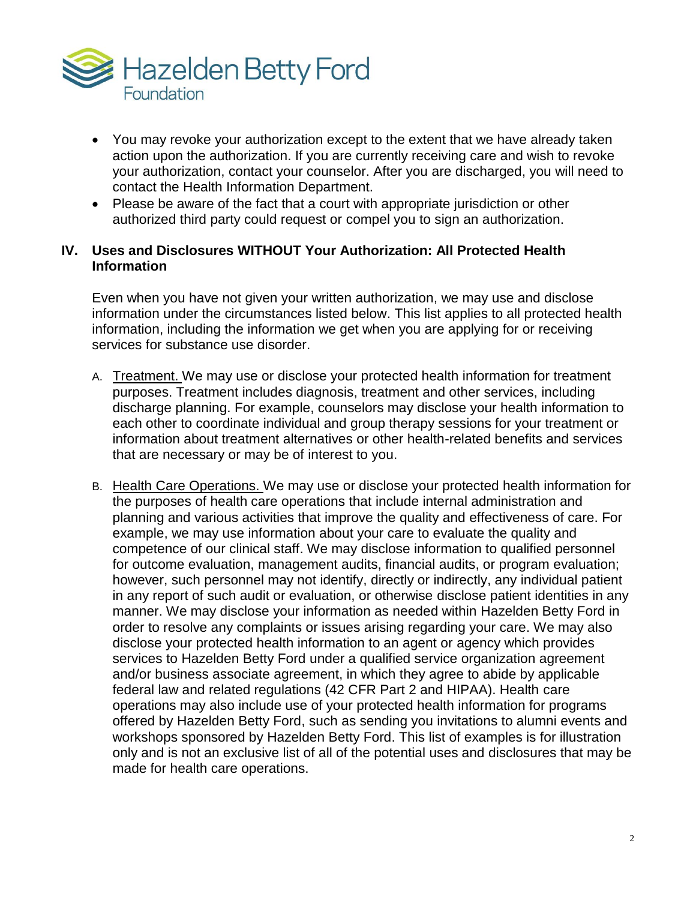

- You may revoke your authorization except to the extent that we have already taken action upon the authorization. If you are currently receiving care and wish to revoke your authorization, contact your counselor. After you are discharged, you will need to contact the Health Information Department.
- Please be aware of the fact that a court with appropriate jurisdiction or other authorized third party could request or compel you to sign an authorization.

### **IV. Uses and Disclosures WITHOUT Your Authorization: All Protected Health Information**

Even when you have not given your written authorization, we may use and disclose information under the circumstances listed below. This list applies to all protected health information, including the information we get when you are applying for or receiving services for substance use disorder.

- A. Treatment. We may use or disclose your protected health information for treatment purposes. Treatment includes diagnosis, treatment and other services, including discharge planning. For example, counselors may disclose your health information to each other to coordinate individual and group therapy sessions for your treatment or information about treatment alternatives or other health-related benefits and services that are necessary or may be of interest to you.
- B. Health Care Operations. We may use or disclose your protected health information for the purposes of health care operations that include internal administration and planning and various activities that improve the quality and effectiveness of care. For example, we may use information about your care to evaluate the quality and competence of our clinical staff. We may disclose information to qualified personnel for outcome evaluation, management audits, financial audits, or program evaluation; however, such personnel may not identify, directly or indirectly, any individual patient in any report of such audit or evaluation, or otherwise disclose patient identities in any manner. We may disclose your information as needed within Hazelden Betty Ford in order to resolve any complaints or issues arising regarding your care. We may also disclose your protected health information to an agent or agency which provides services to Hazelden Betty Ford under a qualified service organization agreement and/or business associate agreement, in which they agree to abide by applicable federal law and related regulations (42 CFR Part 2 and HIPAA). Health care operations may also include use of your protected health information for programs offered by Hazelden Betty Ford, such as sending you invitations to alumni events and workshops sponsored by Hazelden Betty Ford. This list of examples is for illustration only and is not an exclusive list of all of the potential uses and disclosures that may be made for health care operations.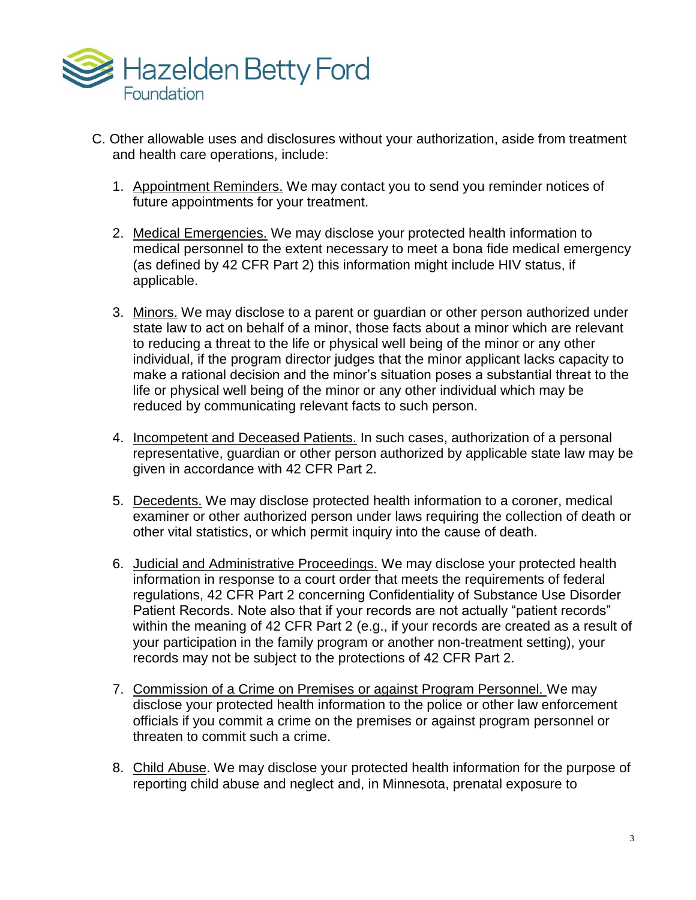

- C. Other allowable uses and disclosures without your authorization, aside from treatment and health care operations, include:
	- 1. Appointment Reminders. We may contact you to send you reminder notices of future appointments for your treatment.
	- 2. Medical Emergencies. We may disclose your protected health information to medical personnel to the extent necessary to meet a bona fide medical emergency (as defined by 42 CFR Part 2) this information might include HIV status, if applicable.
	- 3. Minors. We may disclose to a parent or guardian or other person authorized under state law to act on behalf of a minor, those facts about a minor which are relevant to reducing a threat to the life or physical well being of the minor or any other individual, if the program director judges that the minor applicant lacks capacity to make a rational decision and the minor's situation poses a substantial threat to the life or physical well being of the minor or any other individual which may be reduced by communicating relevant facts to such person.
	- 4. Incompetent and Deceased Patients. In such cases, authorization of a personal representative, guardian or other person authorized by applicable state law may be given in accordance with 42 CFR Part 2.
	- 5. Decedents. We may disclose protected health information to a coroner, medical examiner or other authorized person under laws requiring the collection of death or other vital statistics, or which permit inquiry into the cause of death.
	- 6. Judicial and Administrative Proceedings. We may disclose your protected health information in response to a court order that meets the requirements of federal regulations, 42 CFR Part 2 concerning Confidentiality of Substance Use Disorder Patient Records. Note also that if your records are not actually "patient records" within the meaning of 42 CFR Part 2 (e.g., if your records are created as a result of your participation in the family program or another non-treatment setting), your records may not be subject to the protections of 42 CFR Part 2.
	- 7. Commission of a Crime on Premises or against Program Personnel. We may disclose your protected health information to the police or other law enforcement officials if you commit a crime on the premises or against program personnel or threaten to commit such a crime.
	- 8. Child Abuse. We may disclose your protected health information for the purpose of reporting child abuse and neglect and, in Minnesota, prenatal exposure to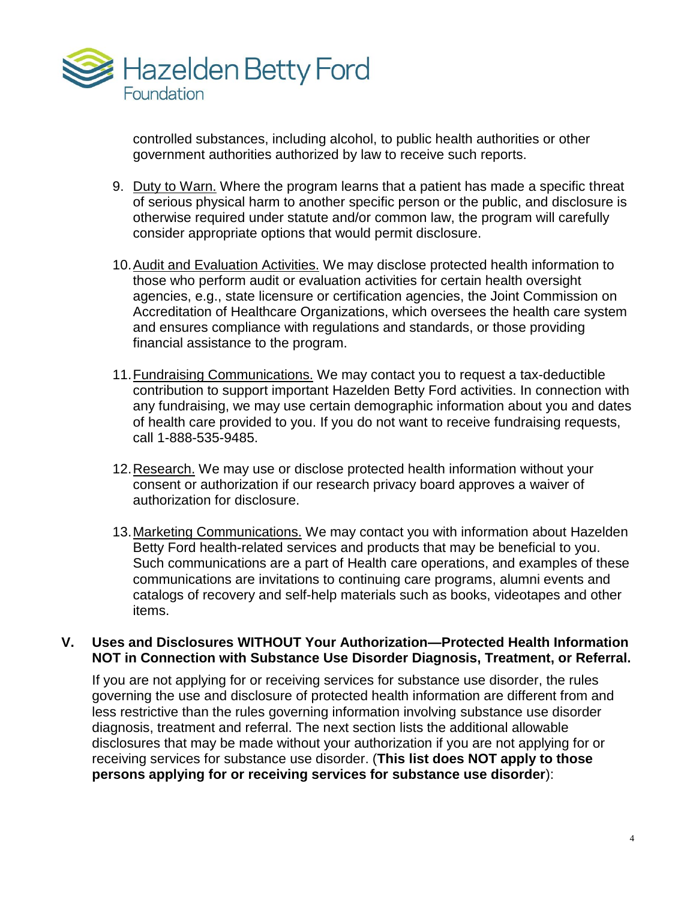

controlled substances, including alcohol, to public health authorities or other government authorities authorized by law to receive such reports.

- 9. Duty to Warn. Where the program learns that a patient has made a specific threat of serious physical harm to another specific person or the public, and disclosure is otherwise required under statute and/or common law, the program will carefully consider appropriate options that would permit disclosure.
- 10.Audit and Evaluation Activities. We may disclose protected health information to those who perform audit or evaluation activities for certain health oversight agencies, e.g., state licensure or certification agencies, the Joint Commission on Accreditation of Healthcare Organizations, which oversees the health care system and ensures compliance with regulations and standards, or those providing financial assistance to the program.
- 11.Fundraising Communications. We may contact you to request a tax-deductible contribution to support important Hazelden Betty Ford activities. In connection with any fundraising, we may use certain demographic information about you and dates of health care provided to you. If you do not want to receive fundraising requests, call 1-888-535-9485.
- 12.Research. We may use or disclose protected health information without your consent or authorization if our research privacy board approves a waiver of authorization for disclosure.
- 13.Marketing Communications. We may contact you with information about Hazelden Betty Ford health-related services and products that may be beneficial to you. Such communications are a part of Health care operations, and examples of these communications are invitations to continuing care programs, alumni events and catalogs of recovery and self-help materials such as books, videotapes and other items.

#### **V. Uses and Disclosures WITHOUT Your Authorization—Protected Health Information NOT in Connection with Substance Use Disorder Diagnosis, Treatment, or Referral.**

If you are not applying for or receiving services for substance use disorder, the rules governing the use and disclosure of protected health information are different from and less restrictive than the rules governing information involving substance use disorder diagnosis, treatment and referral. The next section lists the additional allowable disclosures that may be made without your authorization if you are not applying for or receiving services for substance use disorder. (**This list does NOT apply to those persons applying for or receiving services for substance use disorder**):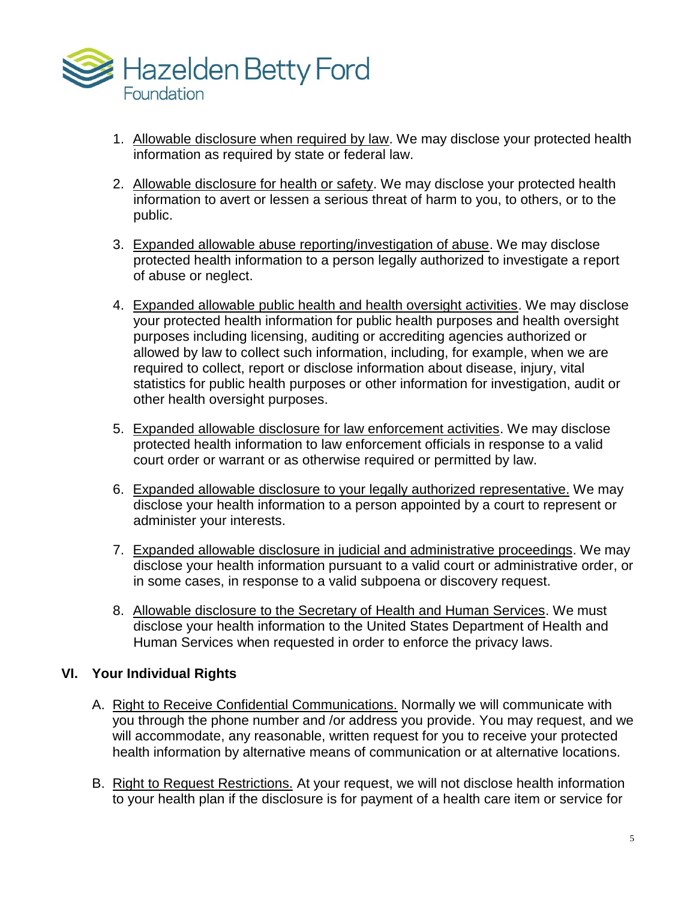

- 1. Allowable disclosure when required by law. We may disclose your protected health information as required by state or federal law.
- 2. Allowable disclosure for health or safety. We may disclose your protected health information to avert or lessen a serious threat of harm to you, to others, or to the public.
- 3. Expanded allowable abuse reporting/investigation of abuse. We may disclose protected health information to a person legally authorized to investigate a report of abuse or neglect.
- 4. Expanded allowable public health and health oversight activities. We may disclose your protected health information for public health purposes and health oversight purposes including licensing, auditing or accrediting agencies authorized or allowed by law to collect such information, including, for example, when we are required to collect, report or disclose information about disease, injury, vital statistics for public health purposes or other information for investigation, audit or other health oversight purposes.
- 5. Expanded allowable disclosure for law enforcement activities. We may disclose protected health information to law enforcement officials in response to a valid court order or warrant or as otherwise required or permitted by law.
- 6. Expanded allowable disclosure to your legally authorized representative. We may disclose your health information to a person appointed by a court to represent or administer your interests.
- 7. Expanded allowable disclosure in judicial and administrative proceedings. We may disclose your health information pursuant to a valid court or administrative order, or in some cases, in response to a valid subpoena or discovery request.
- 8. Allowable disclosure to the Secretary of Health and Human Services. We must disclose your health information to the United States Department of Health and Human Services when requested in order to enforce the privacy laws.

# **VI. Your Individual Rights**

- A. Right to Receive Confidential Communications. Normally we will communicate with you through the phone number and /or address you provide. You may request, and we will accommodate, any reasonable, written request for you to receive your protected health information by alternative means of communication or at alternative locations.
- B. Right to Request Restrictions. At your request, we will not disclose health information to your health plan if the disclosure is for payment of a health care item or service for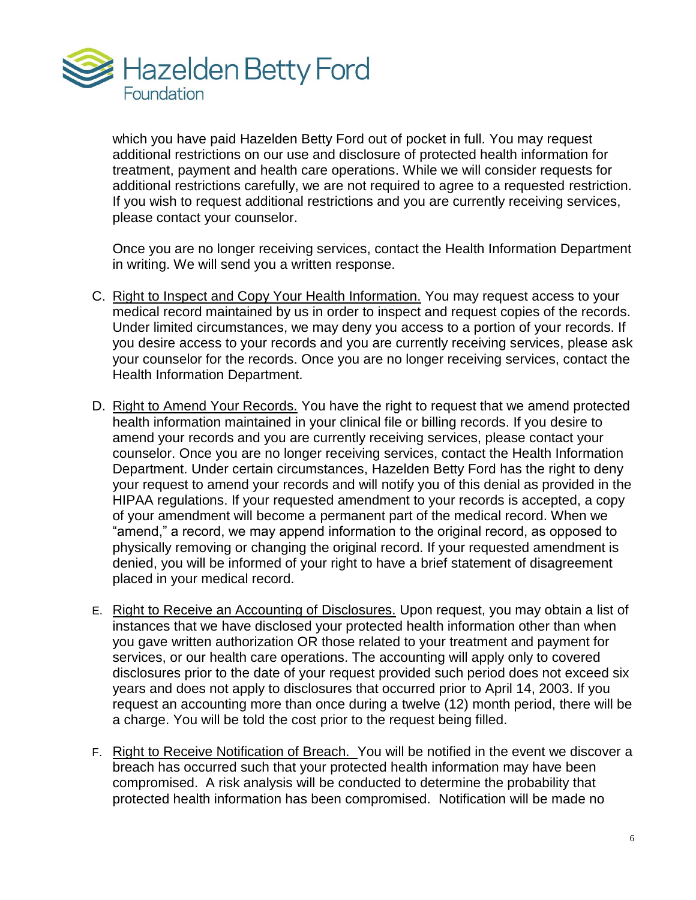

which you have paid Hazelden Betty Ford out of pocket in full. You may request additional restrictions on our use and disclosure of protected health information for treatment, payment and health care operations. While we will consider requests for additional restrictions carefully, we are not required to agree to a requested restriction. If you wish to request additional restrictions and you are currently receiving services, please contact your counselor.

Once you are no longer receiving services, contact the Health Information Department in writing. We will send you a written response.

- C. Right to Inspect and Copy Your Health Information. You may request access to your medical record maintained by us in order to inspect and request copies of the records. Under limited circumstances, we may deny you access to a portion of your records. If you desire access to your records and you are currently receiving services, please ask your counselor for the records. Once you are no longer receiving services, contact the Health Information Department.
- D. Right to Amend Your Records. You have the right to request that we amend protected health information maintained in your clinical file or billing records. If you desire to amend your records and you are currently receiving services, please contact your counselor. Once you are no longer receiving services, contact the Health Information Department. Under certain circumstances, Hazelden Betty Ford has the right to deny your request to amend your records and will notify you of this denial as provided in the HIPAA regulations. If your requested amendment to your records is accepted, a copy of your amendment will become a permanent part of the medical record. When we "amend," a record, we may append information to the original record, as opposed to physically removing or changing the original record. If your requested amendment is denied, you will be informed of your right to have a brief statement of disagreement placed in your medical record.
- E. Right to Receive an Accounting of Disclosures. Upon request, you may obtain a list of instances that we have disclosed your protected health information other than when you gave written authorization OR those related to your treatment and payment for services, or our health care operations. The accounting will apply only to covered disclosures prior to the date of your request provided such period does not exceed six years and does not apply to disclosures that occurred prior to April 14, 2003. If you request an accounting more than once during a twelve (12) month period, there will be a charge. You will be told the cost prior to the request being filled.
- F. Right to Receive Notification of Breach. You will be notified in the event we discover a breach has occurred such that your protected health information may have been compromised. A risk analysis will be conducted to determine the probability that protected health information has been compromised. Notification will be made no